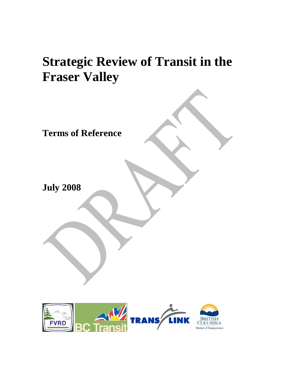# **Strategic Review of Transit in the Fraser Valley**

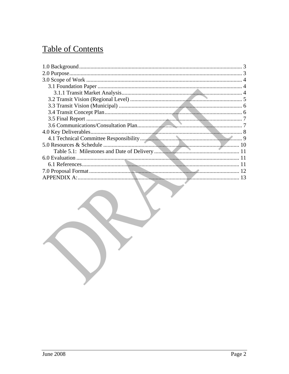# **Table of Contents**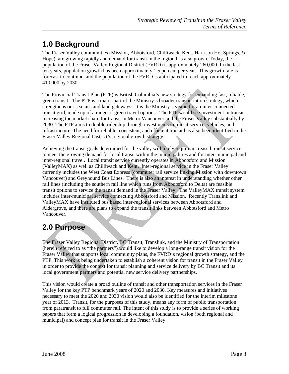# **1.0 Background**

The Fraser Valley communities (Mission, Abbotsford, Chilliwack, Kent, Harrison Hot Springs, & Hope) are growing rapidly and demand for transit in the region has also grown. Today, the population of the Fraser Valley Regional District (FVRD) is approximately 260,000. In the last ten years, population growth has been approximately 1.5 percent per year. This growth rate is forecast to continue, and the population of the FVRD is anticipated to reach approximately 410,000 by 2030.

The Provincial Transit Plan (PTP) is British Columbia's new strategy for expanding fast, reliable, green transit. The PTP is a major part of the Ministry's broader transportation strategy, which strengthens our sea, air, and land gateways. It is the Ministry's vision for an inter-connected transit grid, made up of a range of green travel options. The PTP would see investment in transit increasing the market share for transit in Metro Vancouver and the Fraser Valley substantially by 2030. The PTP aims to double ridership through investments in transit service, vehicles, and infrastructure. The need for reliable, consistent, and efficient transit has also been identified in the Fraser Valley Regional District's regional growth strategy.

Achieving the transit goals determined for the valley will likely require increased transit service to meet the growing demand for local transit within the municipalities and for inter-municipal and inter-regional travel. Local transit service currently operates in Abbotsford and Mission (ValleyMAX) as well as Chilliwack and Kent. Inter-regional service in the Fraser Valley currently includes the West Coast Express (commuter rail service linking Mission with downtown Vancouver) and Greyhound Bus Lines. There is also an interest in understanding whether other rail lines (including the southern rail line which runs from Abbotsford to Delta) are feasible transit options to service the transit demand in the Fraser Valley. The ValleyMAX transit system includes inter-municipal service connecting Abbotsford and Mission. Recently Translink and ValleyMAX have instituted bus based inter-regional services between Abbotsford and Aldergrove, and there are plans to expand the transit links between Abbotsford and Metro Vancouver.

# **2.0 Purpose**

The Fraser Valley Regional District, BC Transit, Translink, and the Ministry of Transportation (herein referred to as "the partners") would like to develop a long-range transit vision for the Fraser Valley that supports local community plans, the FVRD's regional growth strategy, and the PTP. This work is being undertaken to establish a coherent vision for transit in the Fraser Valley in order to provide the context for transit planning and service delivery by BC Transit and its local government partners and potential new service delivery partnerships.

This vision would create a broad outline of transit and other transportation services in the Fraser Valley for the key PTP benchmark years of 2020 and 2030. Key measures and initiatives necessary to meet the 2020 and 2030 vision would also be identified for the interim milestone year of 2013. Transit, for the purposes of this study, means any form of public transportation from paratransit to full commuter rail. The intent of this study is to provide a series of working papers that form a logical progression in developing a foundation, vision (both regional and municipal) and concept plan for transit in the Fraser Valley.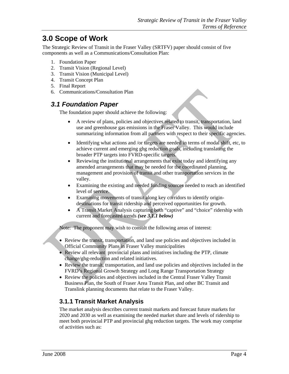# **3.0 Scope of Work**

The Strategic Review of Transit in the Fraser Valley (SRTFV) paper should consist of five components as well as a Communications/Consultation Plan:

- 1. Foundation Paper
- 2. Transit Vision (Regional Level)
- 3. Transit Vision (Municipal Level)
- 4. Transit Concept Plan
- 5. Final Report
- 6. Communications/Consultation Plan

#### *3.1 Foundation Paper*

The foundation paper should achieve the following:

- A review of plans, policies and objectives related to transit, transportation, land use and greenhouse gas emissions in the Fraser Valley. This would include summarizing information from all partners with respect to their specific agencies.
- Identifying what actions and /or targets are needed in terms of modal shift, etc, to achieve current and emerging ghg reduction goals, including translating the broader PTP targets into FVRD-specific targets.
- Reviewing the institutional arrangements that exist today and identifying any amended arrangements that may be needed for the coordinated planning, management and provision of transit and other transportation services in the valley.
- Examining the existing and needed funding sources needed to reach an identified level of service.
- Examining movements of transit along key corridors to identify origindestinations for transit ridership and perceived opportunities for growth.
- A Transit Market Analysis capturing both "captive" and "choice" ridership with current and forecasted trends *(see 3.1.1 below)*

Note: The proponent may wish to consult the following areas of interest:

- Review the transit, transportation, and land use policies and objectives included in Official Community Plans in Fraser Valley municipalities
- Review all relevant provincial plans and initiatives including the PTP, climate change/ghg-reduction and related initiatives.
- Review the transit, transportation, and land use policies and objectives included in the FVRD's Regional Growth Strategy and Long Range Transportation Strategy
- Review the policies and objectives included in the Central Fraser Valley Transit Business Plan, the South of Fraser Area Transit Plan, and other BC Transit and Translink planning documents that relate to the Fraser Valley.

#### **3.1.1 Transit Market Analysis**

The market analysis describes current transit markets and forecast future markets for 2020 and 2030 as well as examining the needed market share and levels of ridership to meet both provincial PTP and provincial ghg reduction targets. The work may comprise of activities such as: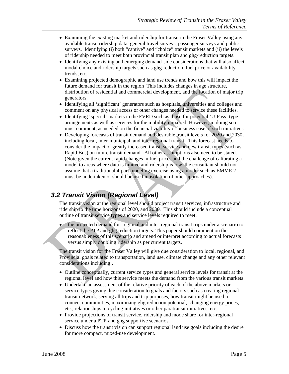- Examining the existing market and ridership for transit in the Fraser Valley using any available transit ridership data, general travel surveys, passenger surveys and public surveys. Identifying (i) both "captive" and "choice" transit markets and (ii) the levels of ridership needed to meet both provincial transit plan and ghg-reduction targets.
- Identifying any existing and emerging demand-side considerations that will also affect modal choice and ridership targets such as ghg-reduction, fuel price or availability trends, etc.
- Examining projected demographic and land use trends and how this will impact the future demand for transit in the region This includes changes in age structure, distribution of residential and commercial development, and the location of major trip generators.
- Identifying all 'significant' generators such as hospitals, universities and colleges and comment on any physical access or other changes needed to service these facilities.
- Identifying 'special' markets in the FVRD such as those for potential 'U-Pass' type arrangements as well as services for the mobility-impaired. However, in doing so it must comment, as needed on the financial viability or business case of such initiatives.
- Developing forecasts of transit demand and desirable transit levels for 2020 and 2030, including local, inter-municipal, and inter-regional transit. This forecast needs to consider the impact of greatly increased transit service and new transit types (such as Rapid Bus) on future transit demand. All other assumptions also need to be stated. (Note given the current rapid changes in fuel prices and the challenge of calibrating a model to areas where data is limited and ridership is low, the consultant should not assume that a traditional 4-part modeling exercise using a model such as EMME 2 must be undertaken or should be used in isolation of other approaches).

#### *3.2 Transit Vision (Regional Level)*

The transit vision at the regional level should project transit services, infrastructure and ridership to the time horizons of 2020, and 2030. This should include a conceptual outline of transit service types and service levels required to meet:

• the projected demand for regional and inter-regional transit trips under a scenario to reflect the PTP and ghg reduction targets. This paper should comment on the reasonableness of this scenario and amend or interpret according to actual forecasts versus simply doubling ridership as per current targets.

The transit vision for the Fraser Valley will give due consideration to local, regional, and Provincial goals related to transportation, land use, climate change and any other relevant considerations including:.

- Outline conceptually, current service types and general service levels for transit at the regional level and how this service meets the demand from the various transit markets.
- Undertake an assessment of the relative priority of each of the above markets or service types giving due consideration to goals and factors such as creating regional transit network, serving all trips and trip purposes, how transit might be used to connect communities, maximizing ghg reduction potential, changing energy prices, etc., relationships to cycling initiatives or other paratransit initiatives, etc.
- Provide projections of transit service, ridership and mode share for inter-regional service under a PTP-and ghg supportive scenarios.
- Discuss how the transit vision can support regional land use goals including the desire for more compact, mixed-use development.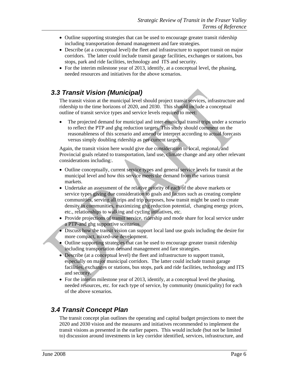- Outline supporting strategies that can be used to encourage greater transit ridership including transportation demand management and fare strategies.
- Describe (at a conceptual level) the fleet and infrastructure to support transit on major corridors. The latter could include transit garage facilities, exchanges or stations, bus stops, park and ride facilities, technology and ITS and security.
- For the interim milestone year of 2013, identify, at a conceptual level, the phasing, needed resources and initiatives for the above scenarios.

#### *3.3 Transit Vision (Municipal)*

The transit vision at the municipal level should project transit services, infrastructure and ridership to the time horizons of 2020, and 2030. This should include a conceptual outline of transit service types and service levels required to meet:

• The projected demand for municipal and inter-municipal transit trips under a scenario to reflect the PTP and ghg reduction targets. This study should comment on the reasonableness of this scenario and amend or interpret according to actual forecasts versus simply doubling ridership as per current targets.

Again, the transit vision here would give due consideration to local, regional, and Provincial goals related to transportation, land use, climate change and any other relevant considerations including:.

- Outline conceptually, current service types and general service levels for transit at the municipal level and how this service meets the demand from the various transit markets.
- Undertake an assessment of the relative priority of each of the above markets or service types giving due consideration to goals and factors such as creating complete communities, serving all trips and trip purposes, how transit might be used to create density in communities, maximizing ghg reduction potential, changing energy prices, etc., relationships to walking and cycling initiatives, etc.
- Provide projections of transit service, ridership and mode share for local service under a PTP-and ghg supportive scenarios.
- Discuss how the transit vision can support local land use goals including the desire for more compact, mixed-use development.
- Outline supporting strategies that can be used to encourage greater transit ridership including transportation demand management and fare strategies.
- Describe (at a conceptual level) the fleet and infrastructure to support transit, especially on major municipal corridors. The latter could include transit garage facilities, exchanges or stations, bus stops, park and ride facilities, technology and ITS and security.
- For the interim milestone year of 2013, identify, at a conceptual level the phasing, needed resources, etc. for each type of service, by community (municipality) for each of the above scenarios.

#### *3.4 Transit Concept Plan*

The transit concept plan outlines the operating and capital budget projections to meet the 2020 and 2030 vision and the measures and initiatives recommended to implement the transit visions as presented in the earlier papers. This would include (but not be limited to) discussion around investments in key corridor identified, services, infrastructure, and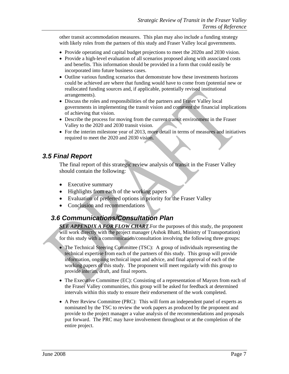other transit accommodation measures. This plan may also include a funding strategy with likely roles from the partners of this study and Fraser Valley local governments.

- Provide operating and capital budget projections to meet the 2020n and 2030 vision.
- Provide a high-level evaluation of all scenarios proposed along with associated costs and benefits. This information should be provided in a form that could easily be incorporated into future business cases.
- Outline various funding scenarios that demonstrate how these investments horizons could be achieved are where that funding would have to come from (potential new or reallocated funding sources and, if applicable, potentially revised institutional arrangements).
- Discuss the roles and responsibilities of the partners and Fraser Valley local governments in implementing the transit vision and comment the financial implications of achieving that vision.
- Describe the process for moving from the current transit environment in the Fraser Valley to the 2020 and 2030 transit vision.
- For the interim milestone year of 2013, more detail in terms of measures and initiatives required to meet the 2020 and 2030 vision.

#### *3.5 Final Report*

The final report of this strategic review analysis of transit in the Fraser Valley should contain the following:

- Executive summary
- Highlights from each of the working papers
- Evaluation of preferred options in priority for the Fraser Valley
- Conclusion and recommendations

#### *3.6 Communications/Consultation Plan*

**SEE APPENDIX A FOR FLOW CHART**. For the purposes of this study, the proponent will work directly with the project manager (Ashok Bhatti, Ministry of Transportation) for this study with a communication/consultation involving the following three groups:

- The Technical Steering Committee (TSC): A group of individuals representing the technical expertise from each of the partners of this study. This group will provide information, ongoing technical input and advice, and final approval of each of the working papers of this study. The proponent will meet regularly with this group to provide interim, draft, and final reports.
- The Executive Committee (EC): Consisting of a representation of Mayors from each of the Fraser Valley communities, this group will be asked for feedback at determined intervals within this study to ensure their endorsement of the work completed.
- A Peer Review Committee (PRC): This will form an independent panel of experts as nominated by the TSC to review the work papers as produced by the proponent and provide to the project manager a value analysis of the recommendations and proposals put forward. The PRC may have involvement throughout or at the completion of the entire project.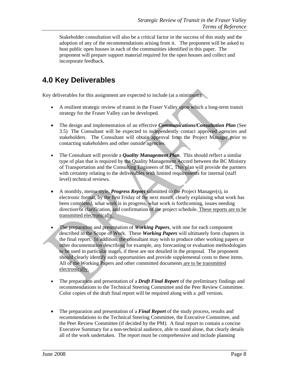Stakeholder consultation will also be a critical factor in the success of this study and the adoption of any of the recommendations arising from it. The proponent will be asked to host public open houses in each of the communities identified in this paper. The proponent will prepare support material required for the open houses and collect and incorporate feedback.

# **4.0 Key Deliverables**

Key deliverables for this assignment are expected to include (at a minimum):

- A resilient strategic review of transit in the Fraser Valley upon which a long-term transit strategy for the Fraser Valley can be developed.
- The design and implementation of an effective *Communications/Consultation Plan* (See 3.5) The Consultant will be expected to independently contact approved agencies and stakeholders. The Consultant will obtain approval from the Project Manager prior to contacting stakeholders and other outside agencies.
- The Consultant will provide a *Quality Management Plan*. This should reflect a similar type of plan that is required by the Quality Management Accord between the BC Ministry of Transportation and the Consulting Engineers of BC, This plan will provide the partners with certainty relating to the deliverables with limited requirements for internal (staff level) technical reviews.
- A monthly, memo style, *Progress Report* submitted to the Project Manager(s), in electronic format, by the first Friday of the next month, clearly explaining what work has been completed, what work is in progress, what work is forthcoming, issues needing direction or clarification, and confirmation of the project schedule. These reports are to be transmitted electronically.
- The preparation and presentation of *Working Papers*, with one for each component described in the Scope of Work. These *Working Papers* will ultimately form chapters in the final report. In addition, the consultant may wish to produce other working papers or other documentation describing for example, any forecasting or evaluation methodologies to be used in particular stages, if these are not detailed in the proposal. The proponent should clearly identify such opportunities and provide supplemental costs to these items. All of the Working Papers and other committed documents are to be transmitted electronically.
- The preparation and presentation of a *Draft Final Report* of the preliminary findings and recommendations to the Technical Steering Committee and the Peer Review Committee. Color copies of the draft final report will be required along with a .pdf version.
- The preparation and presentation of a *Final Report* of the study process, results and recommendations to the Technical Steering Committee, the Executive Committee, and the Peer Review Committee (if decided by the PM). A final report to contain a concise Executive Summary for a non-technical audience, able to stand alone, that clearly details all of the work undertaken. The report must be comprehensive and include planning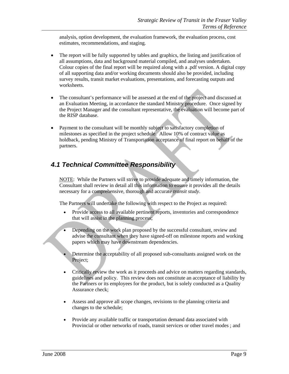analysis, option development, the evaluation framework, the evaluation process, cost estimates, recommendations, and staging.

- The report will be fully supported by tables and graphics, the listing and justification of all assumptions, data and background material compiled, and analyses undertaken. Colour copies of the final report will be required along with a .pdf version. A digital copy of all supporting data and/or working documents should also be provided, including survey results, transit market evaluations, presentations, and forecasting outputs and worksheets.
- The consultant's performance will be assessed at the end of the project and discussed at an Evaluation Meeting, in accordance the standard Ministry procedure. Once signed by the Project Manager and the consultant representative, the evaluation will become part of the RISP database.
- Payment to the consultant will be monthly subject to satisfactory completion of milestones as specified in the project schedule. Allow 10% of contract value as holdback, pending Ministry of Transportation acceptance of final report on behalf of the partners.

### *4.1 Technical Committee Responsibility*

NOTE: While the Partners will strive to provide adequate and timely information, the Consultant shall review in detail all this information to ensure it provides all the details necessary for a comprehensive, thorough and accurate *transit study*.

The Partners will undertake the following with respect to the Project as required:

- Provide access to all available pertinent reports, inventories and correspondence that will assist in the planning process;
- Depending on the work plan proposed by the successful consultant, review and advise the consultant when they have signed-off on milestone reports and working papers which may have downstream dependencies.
- Determine the acceptability of all proposed sub-consultants assigned work on the Project;
- Critically review the work as it proceeds and advice on matters regarding standards, guidelines and policy. This review does not constitute an acceptance of liability by the Partners or its employees for the product, but is solely conducted as a Quality Assurance check;
- Assess and approve all scope changes, revisions to the planning criteria and changes to the schedule;
- Provide any available traffic or transportation demand data associated with Provincial or other networks of roads, transit services or other travel modes ; and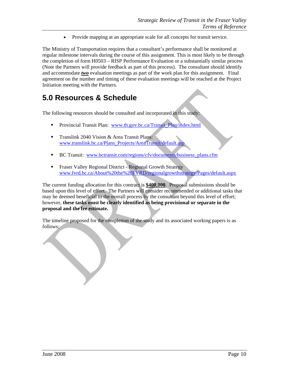• Provide mapping at an appropriate scale for all concepts for transit service.

The Ministry of Transportation requires that a consultant's performance shall be monitored at regular milestone intervals during the course of this assignment. This is most likely to be through the completion of form H0503 – RISP Performance Evaluation or a substantially similar process (Note the Partners will provide feedback as part of this process). The consultant should identify and accommodate *two* evaluation meetings as part of the work plan for this assignment. Final agreement on the number and timing of these evaluation meetings will be reached at the Project Initiation meeting with the Partners.

### **5.0 Resources & Schedule**

The following resources should be consulted and incorporated in this study:

- **Provincial Transit Plan:** www.th.gov.bc.ca/Transit\_Plan/index.html
- Translink 2040 Vision & Area Transit Plans: www.translink.bc.ca/Plans\_Projects/AreaTransit/default.asp
- BC Transit: www.bctransit.com/regions/cfv/documents/business\_plans.cfm
- Fraser Valley Regional District Regional Growth Strategy www.fvrd.bc.ca/About%20the%20FVRD/regionalgrowthstrategy/Pages/default.aspx

The current funding allocation for this contract is **\$400,000**. Proposal submissions should be based upon this level of effort. The Partners will consider recommended or additional tasks that may be deemed beneficial to the overall process by the consultant beyond this level of effort; however, **these tasks must be clearly identified as being provisional or separate in the proposal and the fee estimate.** 

The timeline proposed for the completion of the study and its associated working papers is as follows: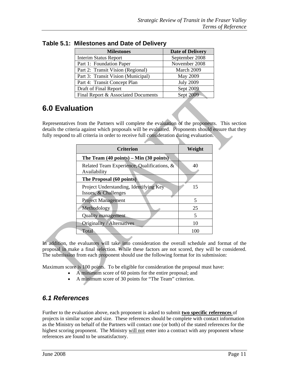| <b>Milestones</b>                   | <b>Date of Delivery</b> |
|-------------------------------------|-------------------------|
| <b>Interim Status Report</b>        | September 2008          |
| Part 1: Foundation Paper            | November 2008           |
| Part 2: Transit Vision (Regional)   | March 2009              |
| Part 3: Transit Vision (Municipal)  | May 2009                |
| Part 4: Transit Concept Plan        | <b>July 2009</b>        |
| Draft of Final Report               | Sept 2009               |
| Final Report & Associated Documents | Sept 2009               |

**Table 5.1: Milestones and Date of Delivery** 

# **6.0 Evaluation**

Representatives from the Partners will complete the evaluation of the proponents. This section details the criteria against which proposals will be evaluated. Proponents should ensure that they fully respond to all criteria in order to receive full consideration during evaluation.

| <b>Criterion</b>                                                | Weight |
|-----------------------------------------------------------------|--------|
| The Team $(40 \text{ points}) - \text{Min} (30 \text{ points})$ |        |
| Related Team Experience, Qualifications, &<br>Availability      | 40     |
| The Proposal (60 points)                                        |        |
| Project Understanding, Identifying Key-<br>Issues, & Challenges | 15     |
| <b>Project Management</b>                                       | 5      |
| Methodology                                                     | 25     |
| <b>Quality management</b>                                       | 5      |
| Originality / Alternatives                                      | 10     |
| Total                                                           | 100    |

In addition, the evaluators will take into consideration the overall schedule and format of the proposal in make a final selection. While these factors are not scored, they will be considered. The submission from each proponent should use the following format for its submission:

Maximum score is 100 points. To be eligible for consideration the proposal must have:

- A minimum score of 60 points for the entire proposal; and
	- A minimum score of 30 points for "The Team" criterion.

#### *6.1 References*

Further to the evaluation above, each proponent is asked to submit **two specific references** of projects in similar scope and size. These references should be complete with contact information as the Ministry on behalf of the Partners will contact one (or both) of the stated references for the highest scoring proponent. The Ministry will not enter into a contract with any proponent whose references are found to be unsatisfactory.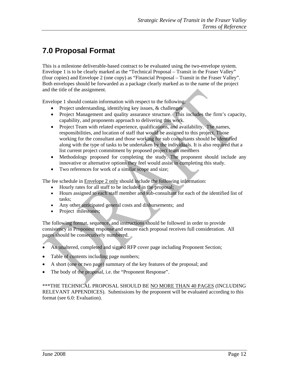# **7.0 Proposal Format**

This is a milestone deliverable-based contract to be evaluated using the two-envelope system. Envelope 1 is to be clearly marked as the "Technical Proposal – Transit in the Fraser Valley" (four copies) and Envelope 2 (one copy) as "Financial Proposal – Transit in the Fraser Valley". Both envelopes should be forwarded as a package clearly marked as to the name of the project and the title of the assignment.

Envelope 1 should contain information with respect to the following:

- Project understanding, identifying key issues, & challenges
- Project Management and quality assurance structure. This includes the firm's capacity, capability, and proponents approach to delivering this work.
- Project Team with related experience, qualifications, and availability. The names, responsibilities, and location of staff that would be assigned to this project. Those working for the consultant and those working for sub consultants should be identified along with the type of tasks to be undertaken by the individuals. It is also required that a list current project commitment by proposed project team members
- Methodology proposed for completing the study. The proponent should include any innovative or alternative options they feel would assist in completing this study.
- Two references for work of a similar scope and size:

The fee schedule in **Envelope 2 only** should include the following information:

- Hourly rates for all staff to be included in the proposal;
- Hours assigned to each staff member and sub-consultant for each of the identified list of tasks;
- Any other anticipated general costs and disbursements; and
- Project milestones;

The following format, sequence, and instructions should be followed in order to provide consistency in Proponent response and ensure each proposal receives full consideration. All pages should be consecutively numbered.

- An unaltered, completed and signed RFP cover page including Proponent Section;
- Table of contents including page numbers;
- A short (one or two page) summary of the key features of the proposal; and
- The body of the proposal, i.e. the "Proponent Response".

\*\*\*THE TECHNICAL PROPOSAL SHOULD BE NO MORE THAN 40 PAGES (INCLUDING RELEVANT APPENDICES). Submissions by the proponent will be evaluated according to this format (see 6.0: Evaluation).